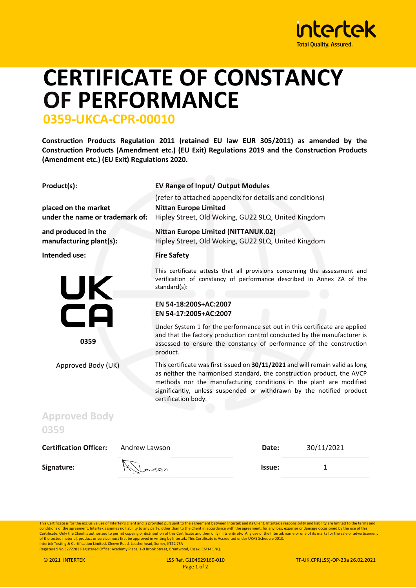

## **CERTIFICATE OF CONSTANCY OF PERFORMANCE**

## **0359-UKCA-CPR-00010**

**Construction Products Regulation 2011 (retained EU law EUR 305/2011) as amended by the Construction Products (Amendment etc.) (EU Exit) Regulations 2019 and the Construction Products (Amendment etc.) (EU Exit) Regulations 2020.** 

| Product(s):                                             | EV Range of Input/ Output Modules<br>(refer to attached appendix for details and conditions)                                                                                                                                                                                                                                 |  |
|---------------------------------------------------------|------------------------------------------------------------------------------------------------------------------------------------------------------------------------------------------------------------------------------------------------------------------------------------------------------------------------------|--|
| placed on the market<br>under the name or trademark of: | <b>Nittan Europe Limited</b><br>Hipley Street, Old Woking, GU22 9LQ, United Kingdom                                                                                                                                                                                                                                          |  |
| and produced in the<br>manufacturing plant(s):          | <b>Nittan Europe Limited (NITTANUK.02)</b><br>Hipley Street, Old Woking, GU22 9LQ, United Kingdom                                                                                                                                                                                                                            |  |
| Intended use:                                           | <b>Fire Safety</b>                                                                                                                                                                                                                                                                                                           |  |
| UK<br>CA<br>0359                                        | This certificate attests that all provisions concerning the assessment and<br>verification of constancy of performance described in Annex ZA of the<br>standard(s):                                                                                                                                                          |  |
|                                                         | EN 54-18:200S+AC:2007<br>EN 54-17:2005+AC:2007                                                                                                                                                                                                                                                                               |  |
|                                                         | Under System 1 for the performance set out in this certificate are applied<br>and that the factory production control conducted by the manufacturer is<br>assessed to ensure the constancy of performance of the construction<br>product.                                                                                    |  |
| Approved Body (UK)                                      | This certificate was first issued on 30/11/2021 and will remain valid as long<br>as neither the harmonised standard, the construction product, the AVCP<br>methods nor the manufacturing conditions in the plant are modified<br>significantly, unless suspended or withdrawn by the notified product<br>certification body. |  |

## **0359 Certification Officer:** Andrew Lawson **Date:** 30/11/2021 **Signature:**  $\left\{\begin{matrix} 1 \end{matrix}\right\}$   $\left\{\begin{matrix} 2 \end{matrix}\right\}$   $\left\{\begin{matrix} 3 \end{matrix}\right\}$   $\left\{\begin{matrix} 4 \end{matrix}\right\}$   $\left\{\begin{matrix} 4 \end{matrix}\right\}$   $\left\{\begin{matrix} 4 \end{matrix}\right\}$   $\left\{\begin{matrix} 4 \end{matrix}\right\}$   $\left\{\begin{matrix} 4 \end{matrix}\right\}$   $\left\{\begin{matrix} 4 \end{matrix}\right\}$   $\left\{\begin{matrix} 4 \end{matrix}\right\}$

This Certificate is for the exclusive use of Intertek's client and is provided pursuant to the agreement between Intertek and its Client. Intertek's responsibility and liability are limited to the terms and conditions of the agreement. Intertek assumes no liability to any party, other than to the Client in accordance with the agreement, for any loss, expense or damage occasioned by the use of this<br>Certificate. Only the Client of the tested material, product or service must first be approved in writing by Intertek. This Certificate is Accredited under UKAS Schedule 0010.<br>Intertek Testing & Certification Limited, Cleeve Road, Leatherhead, Surrey,

Registered No 3272281 Registered Office: Academy Place, 1-9 Brook Street, Brentwood, Essex, CM14 5NQ.

**Approved Body**